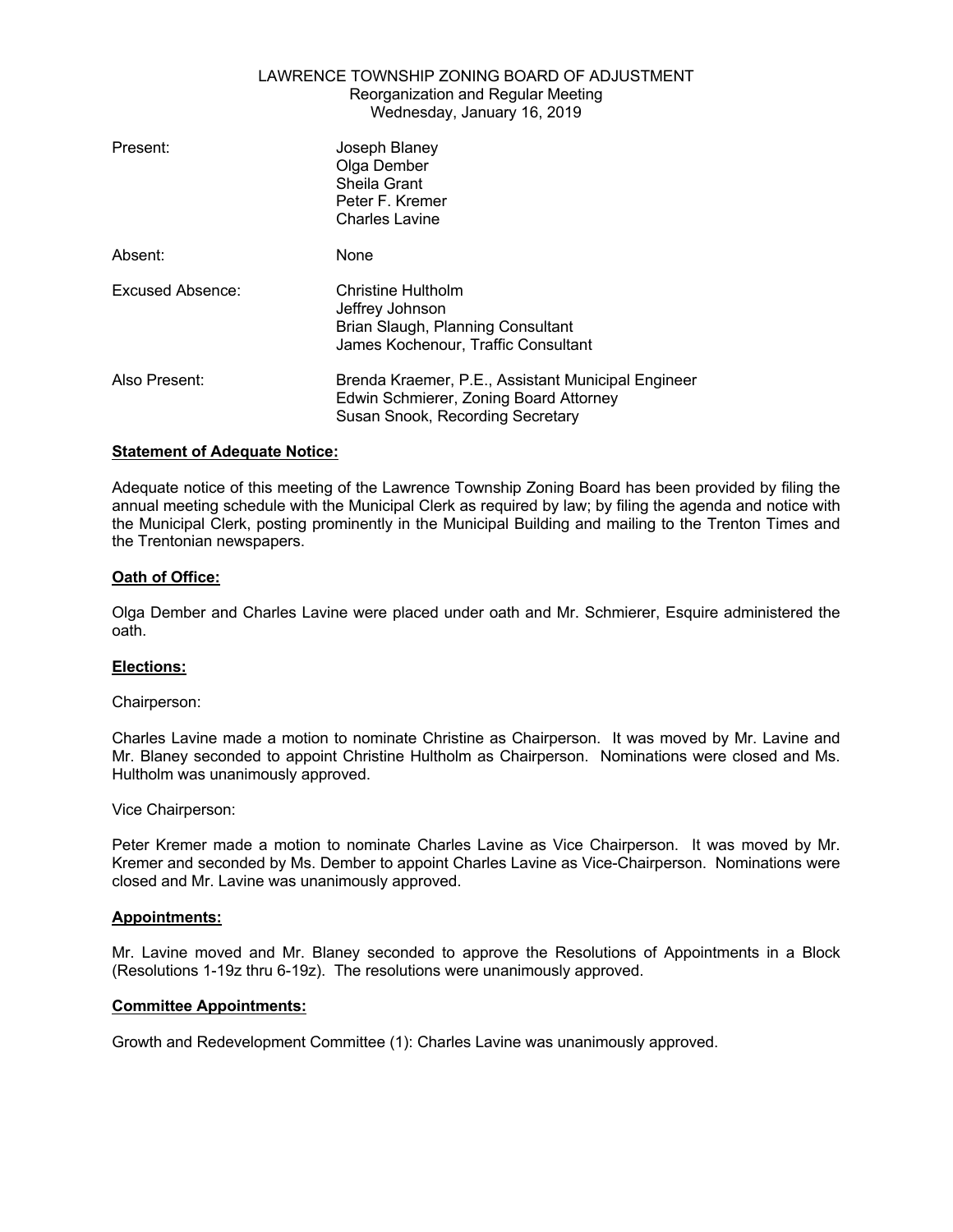# LAWRENCE TOWNSHIP ZONING BOARD OF ADJUSTMENT Reorganization and Regular Meeting Wednesday, January 16, 2019

| Present:         | Joseph Blaney<br>Olga Dember<br>Sheila Grant<br>Peter F. Kremer<br><b>Charles Lavine</b>                                         |
|------------------|----------------------------------------------------------------------------------------------------------------------------------|
| Absent:          | None                                                                                                                             |
| Excused Absence: | <b>Christine Hultholm</b><br>Jeffrey Johnson<br>Brian Slaugh, Planning Consultant<br>James Kochenour, Traffic Consultant         |
| Also Present:    | Brenda Kraemer, P.E., Assistant Municipal Engineer<br>Edwin Schmierer, Zoning Board Attorney<br>Susan Snook, Recording Secretary |

# **Statement of Adequate Notice:**

Adequate notice of this meeting of the Lawrence Township Zoning Board has been provided by filing the annual meeting schedule with the Municipal Clerk as required by law; by filing the agenda and notice with the Municipal Clerk, posting prominently in the Municipal Building and mailing to the Trenton Times and the Trentonian newspapers.

# **Oath of Office:**

Olga Dember and Charles Lavine were placed under oath and Mr. Schmierer, Esquire administered the oath.

### **Elections:**

### Chairperson:

Charles Lavine made a motion to nominate Christine as Chairperson. It was moved by Mr. Lavine and Mr. Blaney seconded to appoint Christine Hultholm as Chairperson. Nominations were closed and Ms. Hultholm was unanimously approved.

Vice Chairperson:

Peter Kremer made a motion to nominate Charles Lavine as Vice Chairperson. It was moved by Mr. Kremer and seconded by Ms. Dember to appoint Charles Lavine as Vice-Chairperson. Nominations were closed and Mr. Lavine was unanimously approved.

### **Appointments:**

Mr. Lavine moved and Mr. Blaney seconded to approve the Resolutions of Appointments in a Block (Resolutions 1-19z thru 6-19z). The resolutions were unanimously approved.

### **Committee Appointments:**

Growth and Redevelopment Committee (1): Charles Lavine was unanimously approved.